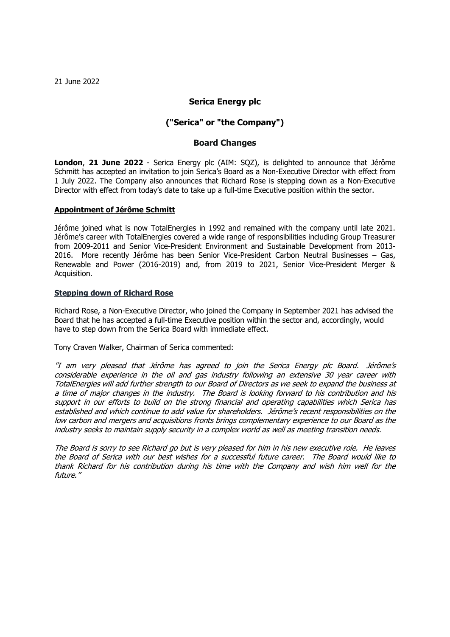21 June 2022

# **Serica Energy plc**

# **("Serica" or "the Company")**

## **Board Changes**

**London**, **21 June 2022** - Serica Energy plc (AIM: SQZ), is delighted to announce that Jérôme Schmitt has accepted an invitation to join Serica's Board as a Non-Executive Director with effect from 1 July 2022. The Company also announces that Richard Rose is stepping down as a Non-Executive Director with effect from today's date to take up a full-time Executive position within the sector.

### **Appointment of Jérôme Schmitt**

Jérôme joined what is now TotalEnergies in 1992 and remained with the company until late 2021. Jérôme's career with TotalEnergies covered a wide range of responsibilities including Group Treasurer from 2009-2011 and Senior Vice-President Environment and Sustainable Development from 2013- 2016. More recently Jérôme has been Senior Vice-President Carbon Neutral Businesses – Gas, Renewable and Power (2016-2019) and, from 2019 to 2021, Senior Vice-President Merger & Acquisition.

#### **Stepping down of Richard Rose**

Richard Rose, a Non-Executive Director, who joined the Company in September 2021 has advised the Board that he has accepted a full-time Executive position within the sector and, accordingly, would have to step down from the Serica Board with immediate effect.

Tony Craven Walker, Chairman of Serica commented:

"I am very pleased that Jérôme has agreed to join the Serica Energy plc Board. Jérôme's considerable experience in the oil and gas industry following an extensive 30 year career with TotalEnergies will add further strength to our Board of Directors as we seek to expand the business at <sup>a</sup> time of major changes in the industry. The Board is looking forward to his contribution and his support in our efforts to build on the strong financial and operating capabilities which Serica has established and which continue to add value for shareholders. Jérôme's recent responsibilities on the low carbon and mergers and acquisitions fronts brings complementary experience to our Board as the industry seeks to maintain supply security in a complex world as well as meeting transition needs.

The Board is sorry to see Richard go but is very pleased for him in his new executive role. He leaves the Board of Serica with our best wishes for a successful future career. The Board would like to thank Richard for his contribution during his time with the Company and wish him well for the future."